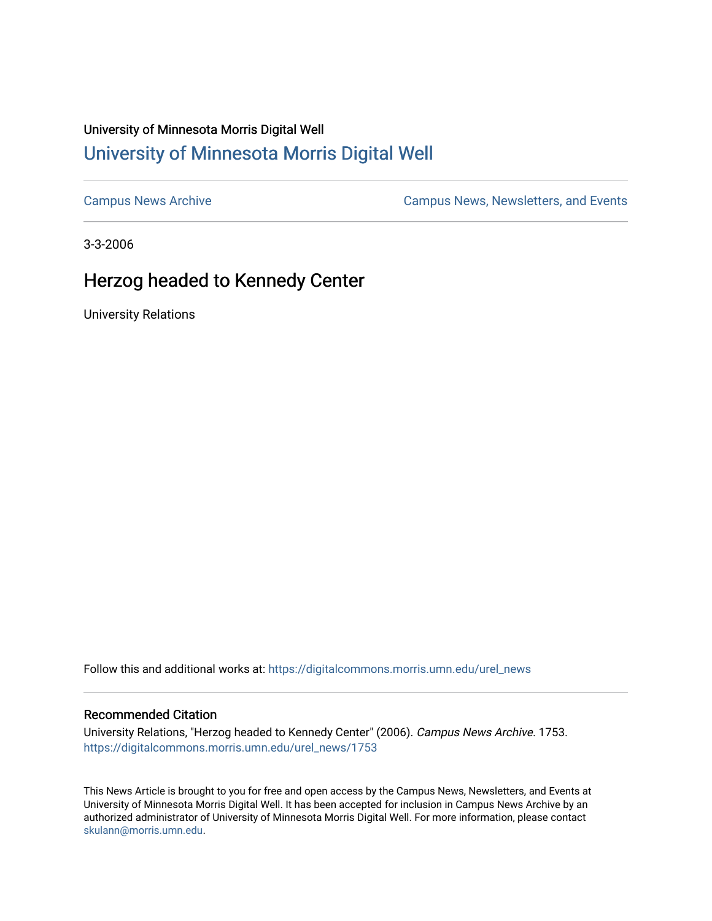## University of Minnesota Morris Digital Well [University of Minnesota Morris Digital Well](https://digitalcommons.morris.umn.edu/)

[Campus News Archive](https://digitalcommons.morris.umn.edu/urel_news) [Campus News, Newsletters, and Events](https://digitalcommons.morris.umn.edu/externalrel) 

3-3-2006

## Herzog headed to Kennedy Center

University Relations

Follow this and additional works at: [https://digitalcommons.morris.umn.edu/urel\\_news](https://digitalcommons.morris.umn.edu/urel_news?utm_source=digitalcommons.morris.umn.edu%2Furel_news%2F1753&utm_medium=PDF&utm_campaign=PDFCoverPages) 

## Recommended Citation

University Relations, "Herzog headed to Kennedy Center" (2006). Campus News Archive. 1753. [https://digitalcommons.morris.umn.edu/urel\\_news/1753](https://digitalcommons.morris.umn.edu/urel_news/1753?utm_source=digitalcommons.morris.umn.edu%2Furel_news%2F1753&utm_medium=PDF&utm_campaign=PDFCoverPages) 

This News Article is brought to you for free and open access by the Campus News, Newsletters, and Events at University of Minnesota Morris Digital Well. It has been accepted for inclusion in Campus News Archive by an authorized administrator of University of Minnesota Morris Digital Well. For more information, please contact [skulann@morris.umn.edu.](mailto:skulann@morris.umn.edu)